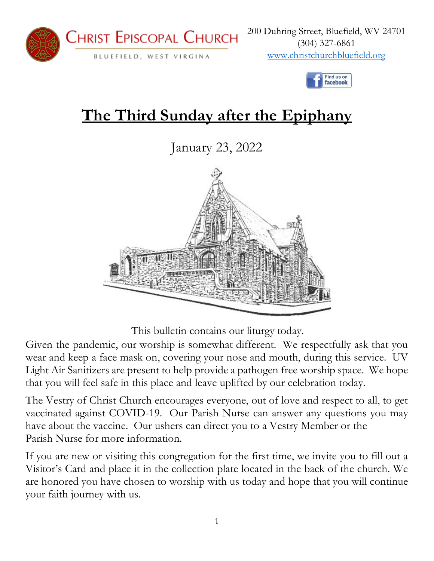



# **The Third Sunday after the Epiphany**

January 23, 2022



This bulletin contains our liturgy today.

Given the pandemic, our worship is somewhat different. We respectfully ask that you wear and keep a face mask on, covering your nose and mouth, during this service. UV Light Air Sanitizers are present to help provide a pathogen free worship space. We hope that you will feel safe in this place and leave uplifted by our celebration today.

The Vestry of Christ Church encourages everyone, out of love and respect to all, to get vaccinated against COVID-19. Our Parish Nurse can answer any questions you may have about the vaccine. Our ushers can direct you to a Vestry Member or the Parish Nurse for more information.

If you are new or visiting this congregation for the first time, we invite you to fill out a Visitor's Card and place it in the collection plate located in the back of the church. We are honored you have chosen to worship with us today and hope that you will continue your faith journey with us.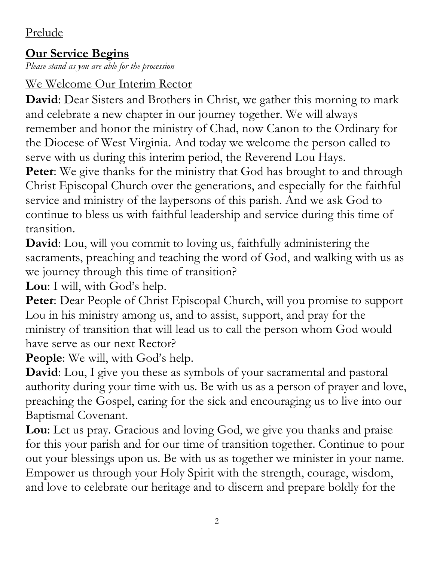## Prelude

## **Our Service Begins**

*Please stand as you are able for the procession*

## We Welcome Our Interim Rector

**David**: Dear Sisters and Brothers in Christ, we gather this morning to mark and celebrate a new chapter in our journey together. We will always remember and honor the ministry of Chad, now Canon to the Ordinary for the Diocese of West Virginia. And today we welcome the person called to serve with us during this interim period, the Reverend Lou Hays.

**Peter:** We give thanks for the ministry that God has brought to and through Christ Episcopal Church over the generations, and especially for the faithful service and ministry of the laypersons of this parish. And we ask God to continue to bless us with faithful leadership and service during this time of transition.

**David**: Lou, will you commit to loving us, faithfully administering the sacraments, preaching and teaching the word of God, and walking with us as we journey through this time of transition?

**Lou**: I will, with God's help.

**Peter**: Dear People of Christ Episcopal Church, will you promise to support Lou in his ministry among us, and to assist, support, and pray for the ministry of transition that will lead us to call the person whom God would have serve as our next Rector?

People: We will, with God's help.

**David**: Lou, I give you these as symbols of your sacramental and pastoral authority during your time with us. Be with us as a person of prayer and love, preaching the Gospel, caring for the sick and encouraging us to live into our Baptismal Covenant.

**Lou**: Let us pray. Gracious and loving God, we give you thanks and praise for this your parish and for our time of transition together. Continue to pour out your blessings upon us. Be with us as together we minister in your name. Empower us through your Holy Spirit with the strength, courage, wisdom, and love to celebrate our heritage and to discern and prepare boldly for the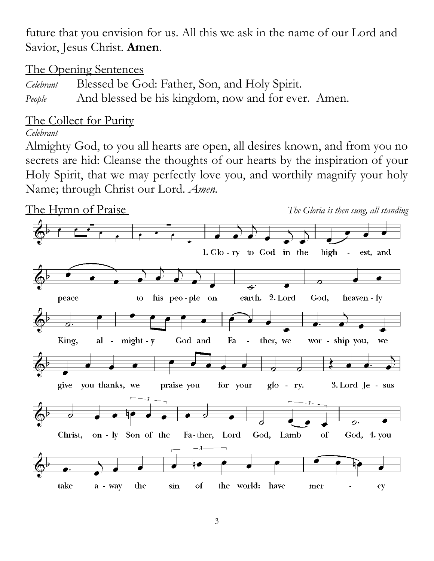future that you envision for us. All this we ask in the name of our Lord and Savior, Jesus Christ. **Amen**.

The Opening Sentences

*Celebrant* Blessed be God: Father, Son, and Holy Spirit. *People* And blessed be his kingdom, now and for ever. Amen.

## The Collect for Purity

*Celebrant*

Almighty God, to you all hearts are open, all desires known, and from you no secrets are hid: Cleanse the thoughts of our hearts by the inspiration of your Holy Spirit, that we may perfectly love you, and worthily magnify your holy Name; through Christ our Lord. *Amen.*

The Hymn of Praise *The Gloria is then sung, all standing*

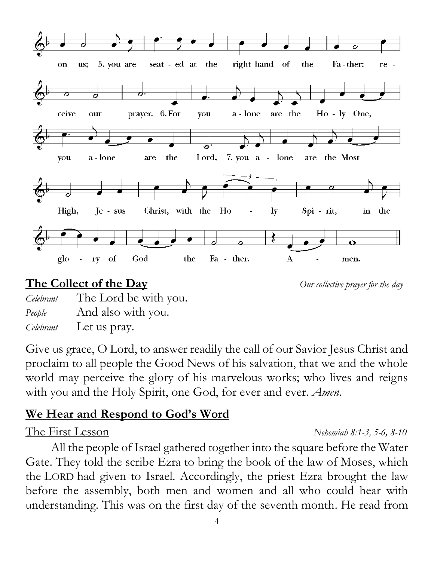

## **The Collect of the Day** *Our collective prayer for the day*

*Celebrant* The Lord be with you. *People* And also with you. *Celebrant* Let us pray.

Give us grace, O Lord, to answer readily the call of our Savior Jesus Christ and proclaim to all people the Good News of his salvation, that we and the whole world may perceive the glory of his marvelous works; who lives and reigns with you and the Holy Spirit, one God, for ever and ever. *Amen*.

## **We Hear and Respond to God's Word**

All the people of Israel gathered together into the square before the Water Gate. They told the scribe Ezra to bring the book of the law of Moses, which the LORD had given to Israel. Accordingly, the priest Ezra brought the law before the assembly, both men and women and all who could hear with understanding. This was on the first day of the seventh month. He read from

#### The First Lesson *Nehemiah 8:1-3, 5-6, 8-10*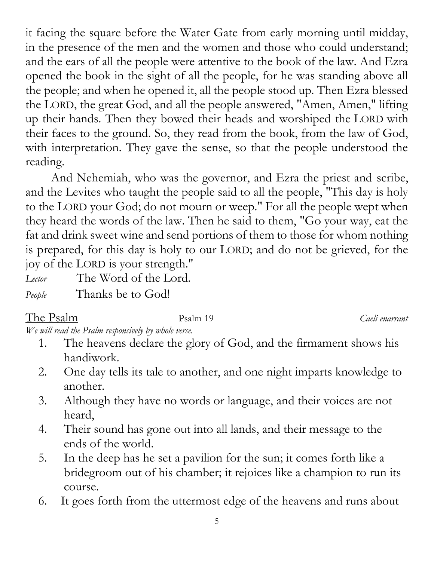it facing the square before the Water Gate from early morning until midday, in the presence of the men and the women and those who could understand; and the ears of all the people were attentive to the book of the law. And Ezra opened the book in the sight of all the people, for he was standing above all the people; and when he opened it, all the people stood up. Then Ezra blessed the LORD, the great God, and all the people answered, "Amen, Amen," lifting up their hands. Then they bowed their heads and worshiped the LORD with their faces to the ground. So, they read from the book, from the law of God, with interpretation. They gave the sense, so that the people understood the reading.

And Nehemiah, who was the governor, and Ezra the priest and scribe, and the Levites who taught the people said to all the people, "This day is holy to the LORD your God; do not mourn or weep." For all the people wept when they heard the words of the law. Then he said to them, "Go your way, eat the fat and drink sweet wine and send portions of them to those for whom nothing is prepared, for this day is holy to our LORD; and do not be grieved, for the joy of the LORD is your strength."

| Lector | The Word of the Lord. |  |
|--------|-----------------------|--|
| People | Thanks be to God!     |  |

The Psalm 19 Caeli enarrant

*We will read the Psalm responsively by whole verse.* 

- 1. The heavens declare the glory of God, and the firmament shows his handiwork.
- 2. One day tells its tale to another, and one night imparts knowledge to another.
- 3. Although they have no words or language, and their voices are not heard,
- 4. Their sound has gone out into all lands, and their message to the ends of the world.
- 5. In the deep has he set a pavilion for the sun; it comes forth like a bridegroom out of his chamber; it rejoices like a champion to run its course.
- 6. It goes forth from the uttermost edge of the heavens and runs about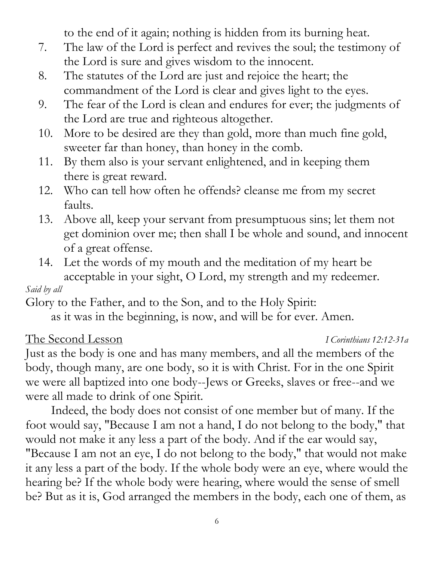to the end of it again; nothing is hidden from its burning heat.

- 7. The law of the Lord is perfect and revives the soul; the testimony of the Lord is sure and gives wisdom to the innocent.
- 8. The statutes of the Lord are just and rejoice the heart; the commandment of the Lord is clear and gives light to the eyes.
- 9. The fear of the Lord is clean and endures for ever; the judgments of the Lord are true and righteous altogether.
- 10. More to be desired are they than gold, more than much fine gold, sweeter far than honey, than honey in the comb.
- 11. By them also is your servant enlightened, and in keeping them there is great reward.
- 12. Who can tell how often he offends? cleanse me from my secret faults.
- 13. Above all, keep your servant from presumptuous sins; let them not get dominion over me; then shall I be whole and sound, and innocent of a great offense.
- 14. Let the words of my mouth and the meditation of my heart be acceptable in your sight, O Lord, my strength and my redeemer.

### *Said by all*

Glory to the Father, and to the Son, and to the Holy Spirit:

as it was in the beginning, is now, and will be for ever. Amen.

### The Second Lesson *I Corinthians 12:12-31a*

Just as the body is one and has many members, and all the members of the body, though many, are one body, so it is with Christ. For in the one Spirit we were all baptized into one body--Jews or Greeks, slaves or free--and we were all made to drink of one Spirit.

Indeed, the body does not consist of one member but of many. If the foot would say, "Because I am not a hand, I do not belong to the body," that would not make it any less a part of the body. And if the ear would say, "Because I am not an eye, I do not belong to the body," that would not make it any less a part of the body. If the whole body were an eye, where would the hearing be? If the whole body were hearing, where would the sense of smell be? But as it is, God arranged the members in the body, each one of them, as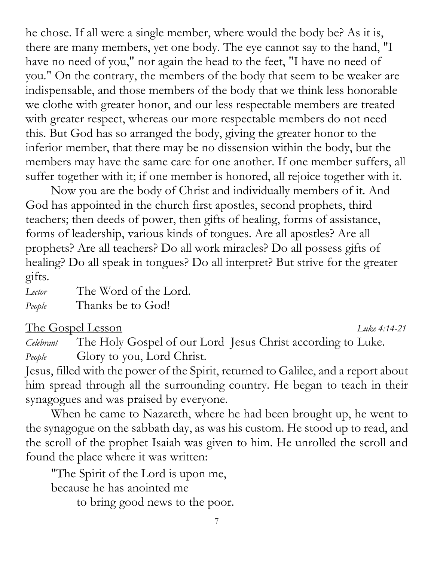he chose. If all were a single member, where would the body be? As it is, there are many members, yet one body. The eye cannot say to the hand, "I have no need of you," nor again the head to the feet, "I have no need of you." On the contrary, the members of the body that seem to be weaker are indispensable, and those members of the body that we think less honorable we clothe with greater honor, and our less respectable members are treated with greater respect, whereas our more respectable members do not need this. But God has so arranged the body, giving the greater honor to the inferior member, that there may be no dissension within the body, but the members may have the same care for one another. If one member suffers, all suffer together with it; if one member is honored, all rejoice together with it.

Now you are the body of Christ and individually members of it. And God has appointed in the church first apostles, second prophets, third teachers; then deeds of power, then gifts of healing, forms of assistance, forms of leadership, various kinds of tongues. Are all apostles? Are all prophets? Are all teachers? Do all work miracles? Do all possess gifts of healing? Do all speak in tongues? Do all interpret? But strive for the greater gifts.

*Lector* The Word of the Lord. *People* Thanks be to God!

The Gospel Lesson *Luke 4:14-21*

*Celebrant* The Holy Gospel of our Lord Jesus Christ according to Luke. *People* Glory to you, Lord Christ.

Jesus, filled with the power of the Spirit, returned to Galilee, and a report about him spread through all the surrounding country. He began to teach in their synagogues and was praised by everyone.

When he came to Nazareth, where he had been brought up, he went to the synagogue on the sabbath day, as was his custom. He stood up to read, and the scroll of the prophet Isaiah was given to him. He unrolled the scroll and found the place where it was written:

"The Spirit of the Lord is upon me, because he has anointed me

to bring good news to the poor.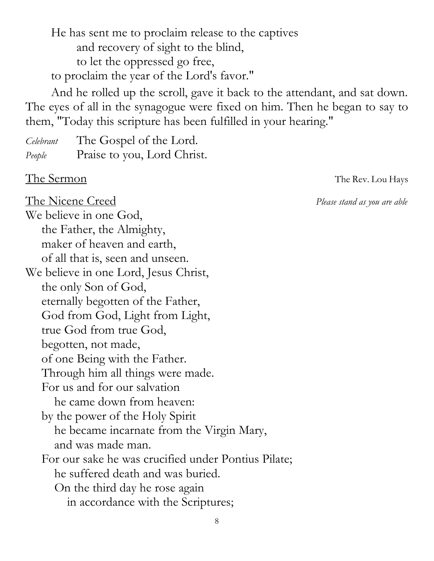He has sent me to proclaim release to the captives and recovery of sight to the blind, to let the oppressed go free, to proclaim the year of the Lord's favor."

And he rolled up the scroll, gave it back to the attendant, and sat down. The eyes of all in the synagogue were fixed on him. Then he began to say to them, "Today this scripture has been fulfilled in your hearing."

*Celebrant* The Gospel of the Lord. *People* Praise to you, Lord Christ.

The Sermon The Rev. Lou Hays

The Nicene Creed *Please stand as you are able*  We believe in one God, the Father, the Almighty, maker of heaven and earth, of all that is, seen and unseen. We believe in one Lord, Jesus Christ, the only Son of God, eternally begotten of the Father, God from God, Light from Light, true God from true God, begotten, not made, of one Being with the Father. Through him all things were made. For us and for our salvation he came down from heaven: by the power of the Holy Spirit he became incarnate from the Virgin Mary, and was made man. For our sake he was crucified under Pontius Pilate; he suffered death and was buried. On the third day he rose again in accordance with the Scriptures;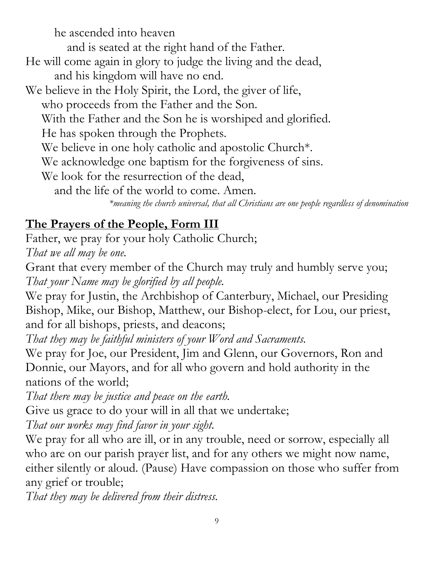he ascended into heaven and is seated at the right hand of the Father. He will come again in glory to judge the living and the dead, and his kingdom will have no end. We believe in the Holy Spirit, the Lord, the giver of life, who proceeds from the Father and the Son. With the Father and the Son he is worshiped and glorified. He has spoken through the Prophets. We believe in one holy catholic and apostolic Church<sup>\*</sup>. We acknowledge one baptism for the forgiveness of sins. We look for the resurrection of the dead, and the life of the world to come. Amen. *\*meaning the church universal, that all Christians are one people regardless of denomination*

## **The Prayers of the People, Form III**

Father, we pray for your holy Catholic Church; *That we all may be one.*

Grant that every member of the Church may truly and humbly serve you; *That your Name may be glorified by all people.*

We pray for Justin, the Archbishop of Canterbury, Michael, our Presiding Bishop, Mike, our Bishop, Matthew, our Bishop-elect, for Lou, our priest, and for all bishops, priests, and deacons;

*That they may be faithful ministers of your Word and Sacraments.*

We pray for Joe, our President, Jim and Glenn, our Governors, Ron and Donnie, our Mayors, and for all who govern and hold authority in the nations of the world;

*That there may be justice and peace on the earth.*

Give us grace to do your will in all that we undertake;

*That our works may find favor in your sight.*

We pray for all who are ill, or in any trouble, need or sorrow, especially all who are on our parish prayer list, and for any others we might now name, either silently or aloud. (Pause) Have compassion on those who suffer from any grief or trouble;

*That they may be delivered from their distress.*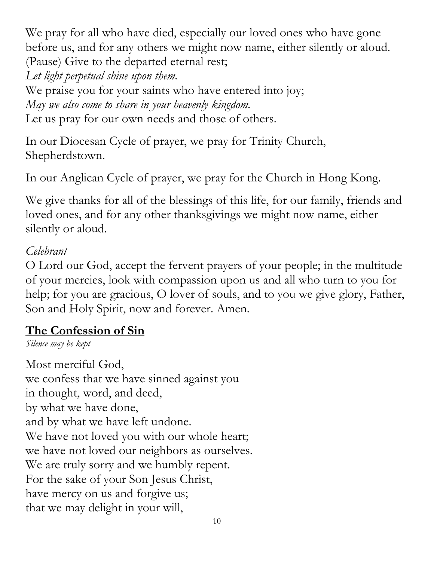We pray for all who have died, especially our loved ones who have gone before us, and for any others we might now name, either silently or aloud. (Pause) Give to the departed eternal rest;

*Let light perpetual shine upon them.*

We praise you for your saints who have entered into joy; *May we also come to share in your heavenly kingdom.* Let us pray for our own needs and those of others.

In our Diocesan Cycle of prayer, we pray for Trinity Church, Shepherdstown.

In our Anglican Cycle of prayer, we pray for the Church in Hong Kong.

We give thanks for all of the blessings of this life, for our family, friends and loved ones, and for any other thanksgivings we might now name, either silently or aloud.

### *Celebrant*

O Lord our God, accept the fervent prayers of your people; in the multitude of your mercies, look with compassion upon us and all who turn to you for help; for you are gracious, O lover of souls, and to you we give glory, Father, Son and Holy Spirit, now and forever. Amen.

## **The Confession of Sin**

*Silence may be kept*

Most merciful God, we confess that we have sinned against you in thought, word, and deed, by what we have done, and by what we have left undone. We have not loved you with our whole heart; we have not loved our neighbors as ourselves. We are truly sorry and we humbly repent. For the sake of your Son Jesus Christ, have mercy on us and forgive us; that we may delight in your will,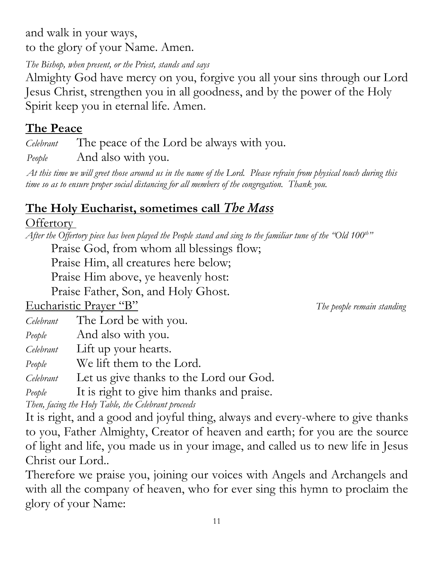and walk in your ways, to the glory of your Name. Amen.

*The Bishop, when present, or the Priest, stands and says*

Almighty God have mercy on you, forgive you all your sins through our Lord Jesus Christ, strengthen you in all goodness, and by the power of the Holy Spirit keep you in eternal life. Amen.

## **The Peace**

*Celebrant* The peace of the Lord be always with you.

*People* And also with you.

*At this time we will greet those around us in the name of the Lord. Please refrain from physical touch during this time so as to ensure proper social distancing for all members of the congregation. Thank you.* 

# **The Holy Eucharist, sometimes call** *The Mass*

## Offertory

*After the Offertory piece has been played the People stand and sing to the familiar tune of the "Old 100th "*

Praise God, from whom all blessings flow;

Praise Him, all creatures here below;

Praise Him above, ye heavenly host:

Praise Father, Son, and Holy Ghost.

Eucharistic Prayer "B" *The people remain standing*

*Celebrant* The Lord be with you.

*People* And also with you.

*Celebrant* Lift up your hearts.

*People* We lift them to the Lord.

*Celebrant* Let us give thanks to the Lord our God.

*People* It is right to give him thanks and praise.

*Then, facing the Holy Table, the Celebrant proceeds*

It is right, and a good and joyful thing, always and every-where to give thanks to you, Father Almighty, Creator of heaven and earth; for you are the source of light and life, you made us in your image, and called us to new life in Jesus Christ our Lord..

Therefore we praise you, joining our voices with Angels and Archangels and with all the company of heaven, who for ever sing this hymn to proclaim the glory of your Name: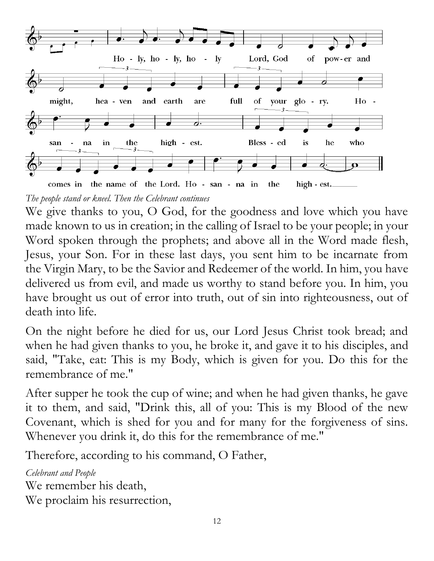

*The people stand or kneel. Then the Celebrant continues*

We give thanks to you, O God, for the goodness and love which you have made known to us in creation; in the calling of Israel to be your people; in your Word spoken through the prophets; and above all in the Word made flesh, Jesus, your Son. For in these last days, you sent him to be incarnate from the Virgin Mary, to be the Savior and Redeemer of the world. In him, you have delivered us from evil, and made us worthy to stand before you. In him, you have brought us out of error into truth, out of sin into righteousness, out of death into life.

On the night before he died for us, our Lord Jesus Christ took bread; and when he had given thanks to you, he broke it, and gave it to his disciples, and said, "Take, eat: This is my Body, which is given for you. Do this for the remembrance of me."

After supper he took the cup of wine; and when he had given thanks, he gave it to them, and said, "Drink this, all of you: This is my Blood of the new Covenant, which is shed for you and for many for the forgiveness of sins. Whenever you drink it, do this for the remembrance of me."

Therefore, according to his command, O Father,

*Celebrant and People* We remember his death, We proclaim his resurrection,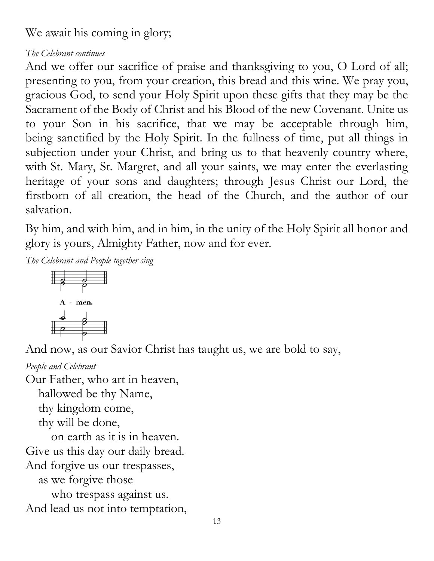We await his coming in glory;

#### *The Celebrant continues*

And we offer our sacrifice of praise and thanksgiving to you, O Lord of all; presenting to you, from your creation, this bread and this wine. We pray you, gracious God, to send your Holy Spirit upon these gifts that they may be the Sacrament of the Body of Christ and his Blood of the new Covenant. Unite us to your Son in his sacrifice, that we may be acceptable through him, being sanctified by the Holy Spirit. In the fullness of time, put all things in subjection under your Christ, and bring us to that heavenly country where, with St. Mary, St. Margret, and all your saints, we may enter the everlasting heritage of your sons and daughters; through Jesus Christ our Lord, the firstborn of all creation, the head of the Church, and the author of our salvation.

By him, and with him, and in him, in the unity of the Holy Spirit all honor and glory is yours, Almighty Father, now and for ever.

*The Celebrant and People together sing*



And now, as our Savior Christ has taught us, we are bold to say,

*People and Celebrant* Our Father, who art in heaven, hallowed be thy Name, thy kingdom come, thy will be done, on earth as it is in heaven. Give us this day our daily bread. And forgive us our trespasses, as we forgive those who trespass against us. And lead us not into temptation,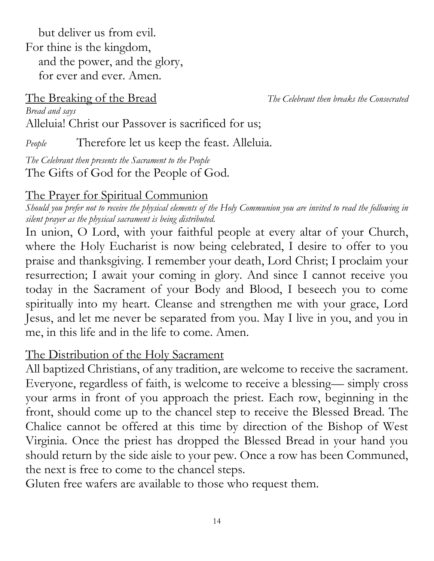but deliver us from evil. For thine is the kingdom, and the power, and the glory, for ever and ever. Amen.

The Breaking of the Bread *The Celebrant then breaks the Consecrated* 

*Bread and says* Alleluia! Christ our Passover is sacrificed for us;

*People* Therefore let us keep the feast. Alleluia.

*The Celebrant then presents the Sacrament to the People* The Gifts of God for the People of God.

## The Prayer for Spiritual Communion

*Should you prefer not to receive the physical elements of the Holy Communion you are invited to read the following in silent prayer as the physical sacrament is being distributed.* 

In union, O Lord, with your faithful people at every altar of your Church, where the Holy Eucharist is now being celebrated, I desire to offer to you praise and thanksgiving. I remember your death, Lord Christ; I proclaim your resurrection; I await your coming in glory. And since I cannot receive you today in the Sacrament of your Body and Blood, I beseech you to come spiritually into my heart. Cleanse and strengthen me with your grace, Lord Jesus, and let me never be separated from you. May I live in you, and you in me, in this life and in the life to come. Amen.

## The Distribution of the Holy Sacrament

All baptized Christians, of any tradition, are welcome to receive the sacrament. Everyone, regardless of faith, is welcome to receive a blessing— simply cross your arms in front of you approach the priest. Each row, beginning in the front, should come up to the chancel step to receive the Blessed Bread. The Chalice cannot be offered at this time by direction of the Bishop of West Virginia. Once the priest has dropped the Blessed Bread in your hand you should return by the side aisle to your pew. Once a row has been Communed, the next is free to come to the chancel steps.

Gluten free wafers are available to those who request them.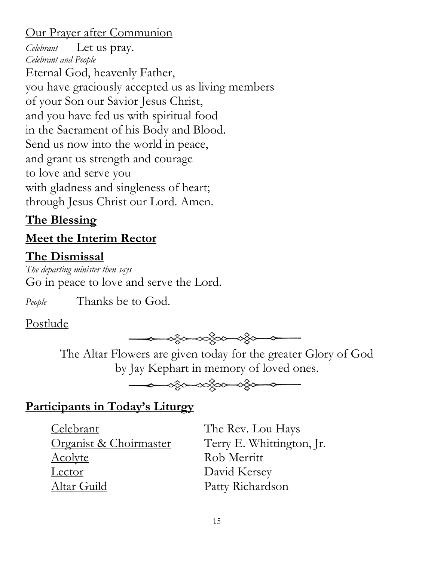### Our Prayer after Communion

*Celebrant* Let us pray. *Celebrant and People* Eternal God, heavenly Father, you have graciously accepted us as living members of your Son our Savior Jesus Christ, and you have fed us with spiritual food in the Sacrament of his Body and Blood. Send us now into the world in peace, and grant us strength and courage to love and serve you with gladness and singleness of heart; through Jesus Christ our Lord. Amen.

## **The Blessing**

## **Meet the Interim Rector**

## **The Dismissal**

*The departing minister then says* Go in peace to love and serve the Lord.

*People* Thanks be to God.

## Postlude



The Altar Flowers are given today for the greater Glory of God by Jay Kephart in memory of loved ones.



## **Participants in Today's Liturgy**

Celebrant The Rev. Lou Hays Organist & Choirmaster Terry E. Whittington, Jr. Acolyte Rob Merritt Lector David Kersey Altar Guild Patty Richardson